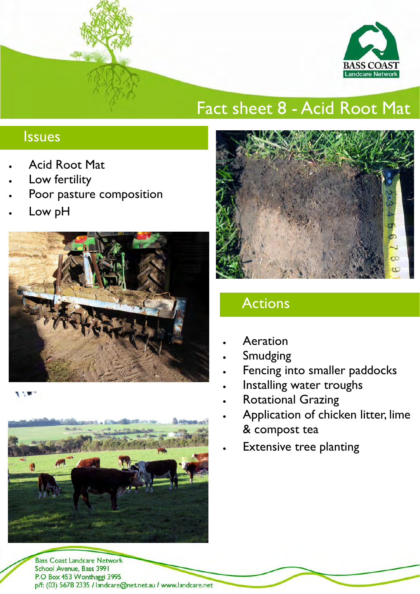

# Fact sheet 8 - Acid Root Mat

### Issues

- Acid Root Mat
- Low fertility
- Poor pasture composition
- Low pH



**ALC** 



**Bass Coast Landcare Network** School Avenue, Bass 3991 P.O Box 453 Wonthaggi 3995 p/f: (03) 5678 2335 / landcare@net.netau / www.landcare.net



## Actions

- **Aeration**
- **Smudging**
- Fencing into smaller paddocks
- Installing water troughs
- **Rotational Grazing**
- Application of chicken litter, lime & compost tea
- **Extensive tree planting**